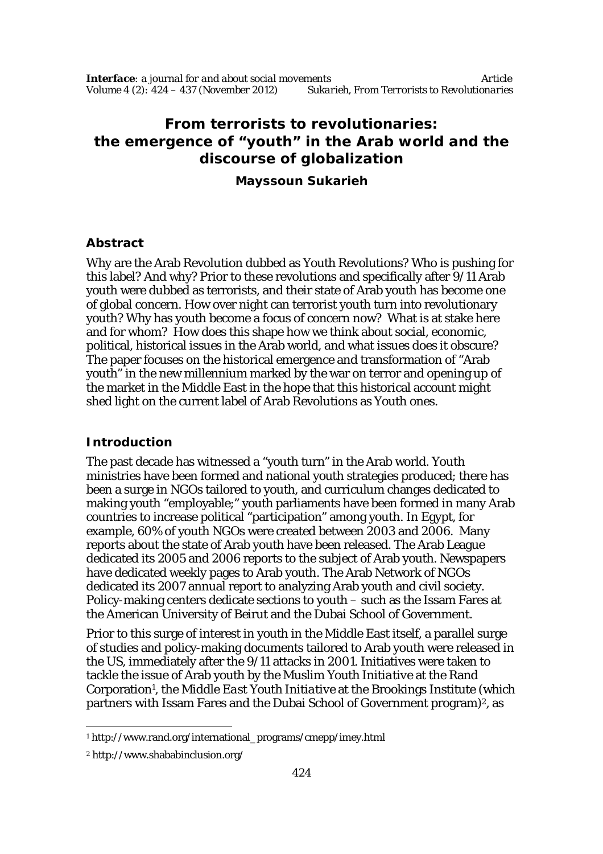# **From terrorists to revolutionaries: the emergence of "youth" in the Arab world and the discourse of globalization**

**Mayssoun Sukarieh**

#### **Abstract**

Why are the Arab Revolution dubbed as Youth Revolutions? Who is pushing for this label? And why? Prior to these revolutions and specifically after 9/11 Arab youth were dubbed as terrorists, and their state of Arab youth has become one of global concern. How over night can terrorist youth turn into revolutionary youth? Why has youth become a focus of concern now? What is at stake here and for whom? How does this shape how we think about social, economic, political, historical issues in the Arab world, and what issues does it obscure? The paper focuses on the historical emergence and transformation of "Arab youth" in the new millennium marked by the war on terror and opening up of the market in the Middle East in the hope that this historical account might shed light on the current label of Arab Revolutions as Youth ones.

### **Introduction**

The past decade has witnessed a "youth turn" in the Arab world. Youth ministries have been formed and national youth strategies produced; there has been a surge in NGOs tailored to youth, and curriculum changes dedicated to making youth "employable;" youth parliaments have been formed in many Arab countries to increase political "participation" among youth. In Egypt, for example, 60% of youth NGOs were created between 2003 and 2006. Many reports about the state of Arab youth have been released. The Arab League dedicated its 2005 and 2006 reports to the subject of Arab youth. Newspapers have dedicated weekly pages to Arab youth. The Arab Network of NGOs dedicated its 2007 annual report to analyzing Arab youth and civil society. Policy-making centers dedicate sections to youth – such as the Issam Fares at the American University of Beirut and the Dubai School of Government.

Prior to this surge of interest in youth in the Middle East itself, a parallel surge of studies and policy-making documents tailored to Arab youth were released in the US, immediately after the 9/11 attacks in 2001. Initiatives were taken to tackle the issue of Arab youth by the *Muslim Youth Initiative* at the Rand Corporation<sup>1</sup>, the *Middle East Youth Initiative* at the Brookings Institute (which partners with Issam Fares and the Dubai School of Government program)<sup>2</sup>, as

 $\overline{a}$ <sup>1</sup> http://www.rand.org/international\_programs/cmepp/imey.html

<sup>2</sup> http://www.shababinclusion.org/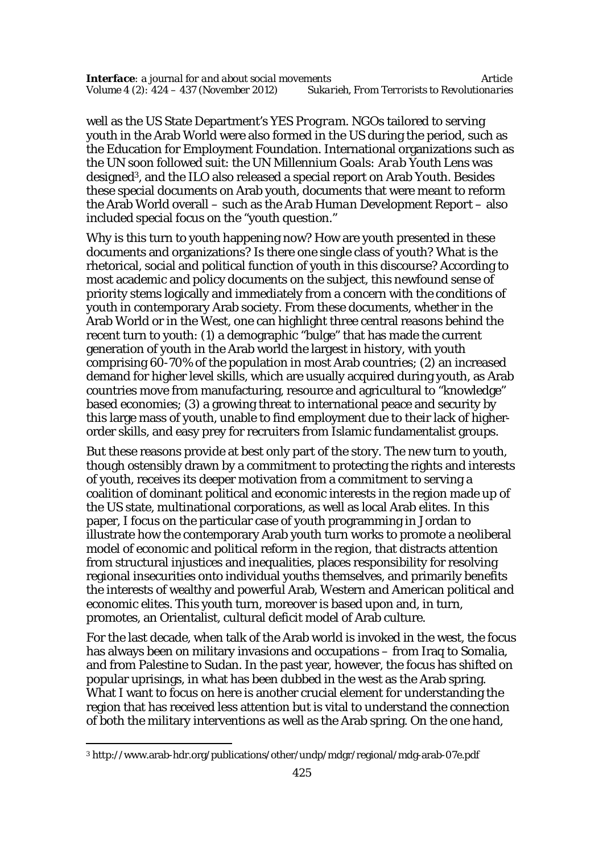well as the US State Department's *YES Program*. NGOs tailored to serving youth in the Arab World were also formed in the US during the period, such as the Education for Employment Foundation. International organizations such as the UN soon followed suit: the *UN Millennium Goals: Arab Youth Lens* was designed3, and the ILO also released a special report on Arab Youth. Besides these special documents on Arab youth, documents that were meant to reform the Arab World overall – such as the *Arab Human Development Report* – also included special focus on the "youth question."

Why is this turn to youth happening now? How are youth presented in these documents and organizations? Is there one single class of youth? What is the rhetorical, social and political function of youth in this discourse? According to most academic and policy documents on the subject, this newfound sense of priority stems logically and immediately from a concern with the conditions of youth in contemporary Arab society. From these documents, whether in the Arab World or in the West, one can highlight three central reasons behind the recent turn to youth: (1) a demographic "bulge" that has made the current generation of youth in the Arab world the largest in history, with youth comprising 60-70% of the population in most Arab countries; (2) an increased demand for higher level skills, which are usually acquired during youth, as Arab countries move from manufacturing, resource and agricultural to "knowledge" based economies; (3) a growing threat to international peace and security by this large mass of youth, unable to find employment due to their lack of higherorder skills, and easy prey for recruiters from Islamic fundamentalist groups.

But these reasons provide at best only part of the story. The new turn to youth, though ostensibly drawn by a commitment to protecting the rights and interests of youth, receives its deeper motivation from a commitment to serving a coalition of dominant political and economic interests in the region made up of the US state, multinational corporations, as well as local Arab elites. In this paper, I focus on the particular case of youth programming in Jordan to illustrate how the contemporary Arab youth turn works to promote a neoliberal model of economic and political reform in the region, that distracts attention from structural injustices and inequalities, places responsibility for resolving regional insecurities onto individual youths themselves, and primarily benefits the interests of wealthy and powerful Arab, Western and American political and economic elites. This youth turn, moreover is based upon and, in turn, promotes, an Orientalist, cultural deficit model of Arab culture.

For the last decade, when talk of the Arab world is invoked in the west, the focus has always been on military invasions and occupations – from Irag to Somalia, and from Palestine to Sudan. In the past year, however, the focus has shifted on popular uprisings, in what has been dubbed in the west as the Arab spring. What I want to focus on here is another crucial element for understanding the region that has received less attention but is vital to understand the connection of both the military interventions as well as the Arab spring. On the one hand,

 $\overline{a}$ 

<sup>3</sup> http://www.arab-hdr.org/publications/other/undp/mdgr/regional/mdg-arab-07e.pdf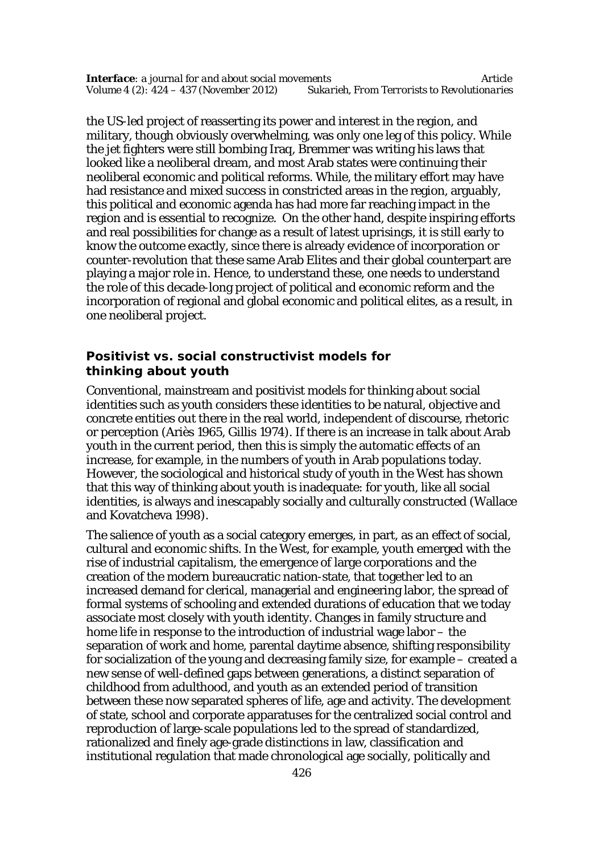the US-led project of reasserting its power and interest in the region, and military, though obviously overwhelming, was only one leg of this policy. While the jet fighters were still bombing Iraq, Bremmer was writing his laws that looked like a neoliberal dream, and most Arab states were continuing their neoliberal economic and political reforms. While, the military effort may have had resistance and mixed success in constricted areas in the region, arguably, this political and economic agenda has had more far reaching impact in the region and is essential to recognize. On the other hand, despite inspiring efforts and real possibilities for change as a result of latest uprisings, it is still early to know the outcome exactly, since there is already evidence of incorporation or counter-revolution that these same Arab Elites and their global counterpart are playing a major role in. Hence, to understand these, one needs to understand the role of this decade-long project of political and economic reform and the incorporation of regional and global economic and political elites, as a result, in one neoliberal project.

#### **Positivist vs. social constructivist models for thinking about youth**

Conventional, mainstream and positivist models for thinking about social identities such as youth considers these identities to be natural, objective and concrete entities out there in the real world, independent of discourse, rhetoric or perception (Ariès 1965, Gillis 1974). If there is an increase in talk about Arab youth in the current period, then this is simply the automatic effects of an increase, for example, in the numbers of youth in Arab populations today. However, the sociological and historical study of youth in the West has shown that this way of thinking about youth is inadequate: for youth, like all social identities, is always and inescapably socially and culturally constructed (Wallace and Kovatcheva 1998).

The salience of youth as a social category emerges, in part, as an effect of social, cultural and economic shifts. In the West, for example, youth emerged with the rise of industrial capitalism, the emergence of large corporations and the creation of the modern bureaucratic nation-state, that together led to an increased demand for clerical, managerial and engineering labor, the spread of formal systems of schooling and extended durations of education that we today associate most closely with youth identity. Changes in family structure and home life in response to the introduction of industrial wage labor – the separation of work and home, parental daytime absence, shifting responsibility for socialization of the young and decreasing family size, for example – created a new sense of well-defined gaps between generations, a distinct separation of childhood from adulthood, and youth as an extended period of transition between these now separated spheres of life, age and activity. The development of state, school and corporate apparatuses for the centralized social control and reproduction of large-scale populations led to the spread of standardized, rationalized and finely age-grade distinctions in law, classification and institutional regulation that made chronological age socially, politically and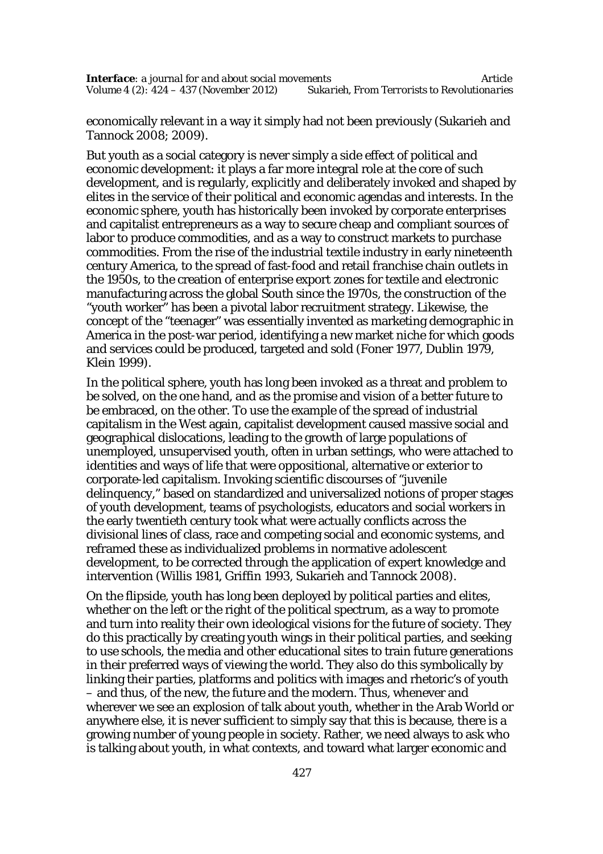economically relevant in a way it simply had not been previously (Sukarieh and Tannock 2008; 2009).

But youth as a social category is never simply a side effect of political and economic development: it plays a far more integral role at the core of such development, and is regularly, explicitly and deliberately invoked and shaped by elites in the service of their political and economic agendas and interests. In the economic sphere, youth has historically been invoked by corporate enterprises and capitalist entrepreneurs as a way to secure cheap and compliant sources of labor to produce commodities, and as a way to construct markets to purchase commodities. From the rise of the industrial textile industry in early nineteenth century America, to the spread of fast-food and retail franchise chain outlets in the 1950s, to the creation of enterprise export zones for textile and electronic manufacturing across the global South since the 1970s, the construction of the "youth worker" has been a pivotal labor recruitment strategy. Likewise, the concept of the "teenager" was essentially invented as marketing demographic in America in the post-war period, identifying a new market niche for which goods and services could be produced, targeted and sold (Foner 1977, Dublin 1979, Klein 1999).

In the political sphere, youth has long been invoked as a threat and problem to be solved, on the one hand, and as the promise and vision of a better future to be embraced, on the other. To use the example of the spread of industrial capitalism in the West again, capitalist development caused massive social and geographical dislocations, leading to the growth of large populations of unemployed, unsupervised youth, often in urban settings, who were attached to identities and ways of life that were oppositional, alternative or exterior to corporate-led capitalism. Invoking scientific discourses of "juvenile delinquency," based on standardized and universalized notions of proper stages of youth development, teams of psychologists, educators and social workers in the early twentieth century took what were actually conflicts across the divisional lines of class, race and competing social and economic systems, and reframed these as individualized problems in normative adolescent development, to be corrected through the application of expert knowledge and intervention (Willis 1981, Griffin 1993, Sukarieh and Tannock 2008).

On the flipside, youth has long been deployed by political parties and elites, whether on the left or the right of the political spectrum, as a way to promote and turn into reality their own ideological visions for the future of society. They do this practically by creating youth wings in their political parties, and seeking to use schools, the media and other educational sites to train future generations in their preferred ways of viewing the world. They also do this symbolically by linking their parties, platforms and politics with images and rhetoric's of youth – and thus, of the new, the future and the modern. Thus, whenever and wherever we see an explosion of talk about youth, whether in the Arab World or anywhere else, it is never sufficient to simply say that this is because, there is a growing number of young people in society. Rather, we need always to ask who is talking about youth, in what contexts, and toward what larger economic and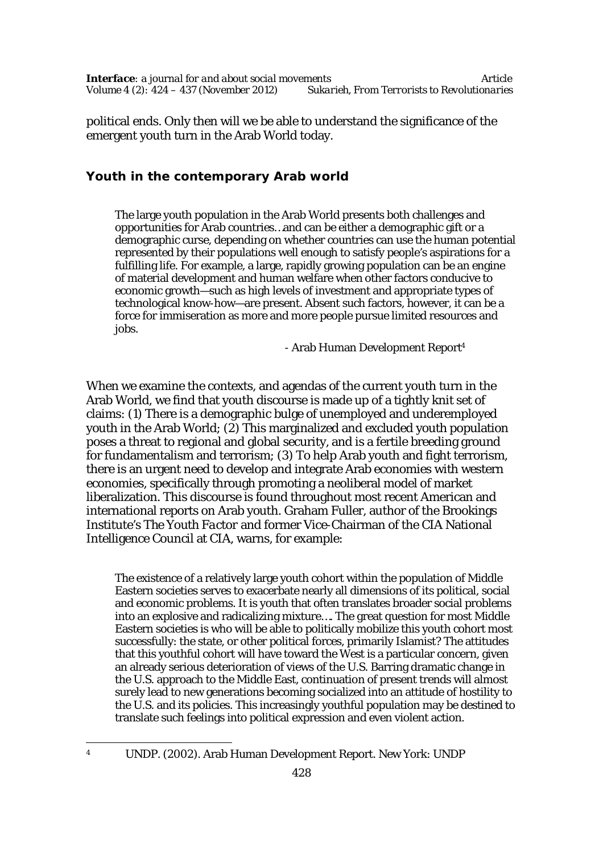political ends. Only then will we be able to understand the significance of the emergent youth turn in the Arab World today.

## **Youth in the contemporary Arab world**

The large youth population in the Arab World presents both challenges and opportunities for Arab countries…and can be either a demographic gift or a demographic curse, depending on whether countries can use the human potential represented by their populations well enough to satisfy people's aspirations for a fulfilling life. For example, a large, rapidly growing population can be an engine of material development and human welfare when other factors conducive to economic growth—such as high levels of investment and appropriate types of technological know-how—are present. Absent such factors, however, it can be a force for immiseration as more and more people pursue limited resources and jobs.

- Arab Human Development Report<sup>4</sup>

When we examine the contexts, and agendas of the current youth turn in the Arab World, we find that youth discourse is made up of a tightly knit set of claims: (1) There is a demographic bulge of unemployed and underemployed youth in the Arab World; (2) This marginalized and excluded youth population poses a threat to regional and global security, and is a fertile breeding ground for fundamentalism and terrorism; (3) To help Arab youth and fight terrorism, there is an urgent need to develop and integrate Arab economies with western economies, specifically through promoting a neoliberal model of market liberalization. This discourse is found throughout most recent American and international reports on Arab youth. Graham Fuller, author of the Brookings Institute's *The Youth Factor* and former Vice-Chairman of the CIA National Intelligence Council at CIA, warns, for example:

The existence of a relatively large youth cohort within the population of Middle Eastern societies serves to exacerbate nearly all dimensions of its political, social and economic problems. It is youth that often translates broader social problems into an explosive and radicalizing mixture…. The great question for most Middle Eastern societies is who will be able to politically mobilize this youth cohort most successfully: the state, or other political forces, primarily Islamist? The attitudes that this youthful cohort will have toward the West is a particular concern, given an already serious deterioration of views of the U.S. Barring dramatic change in the U.S. approach to the Middle East, continuation of present trends will almost surely lead to new generations becoming socialized into an attitude of hostility to the U.S. and its policies. This increasingly youthful population may be destined to translate such feelings into political expression and even violent action.

 $\lambda$ 

<sup>4</sup> UNDP. (2002). Arab Human Development Report. New York: UNDP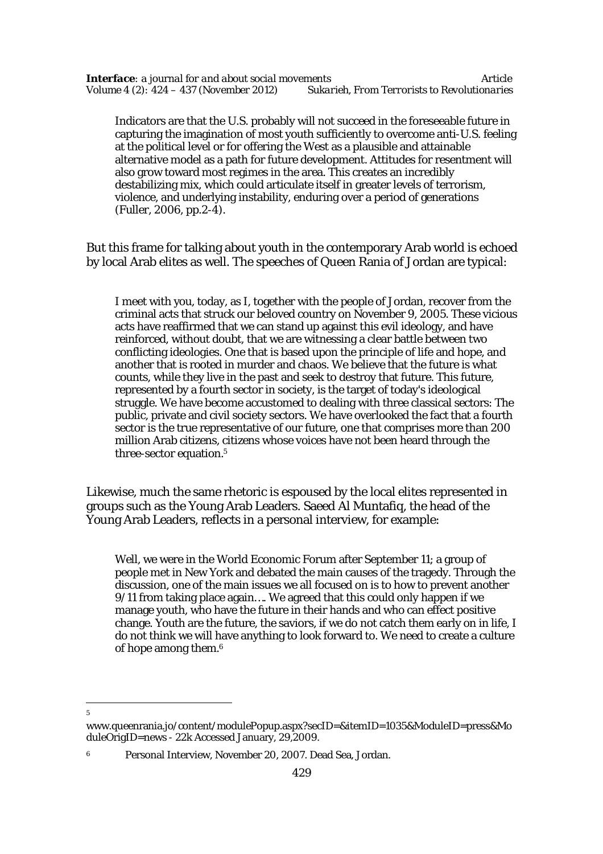Indicators are that the U.S. probably will not succeed in the foreseeable future in capturing the imagination of most youth sufficiently to overcome anti-U.S. feeling at the political level or for offering the West as a plausible and attainable alternative model as a path for future development. Attitudes for resentment will also grow toward most regimes in the area. This creates an incredibly destabilizing mix, which could articulate itself in greater levels of terrorism, violence, and underlying instability, enduring over a period of generations (Fuller, 2006, pp.2-4).

But this frame for talking about youth in the contemporary Arab world is echoed by local Arab elites as well. The speeches of Queen Rania of Jordan are typical:

I meet with you, today, as I, together with the people of Jordan, recover from the criminal acts that struck our beloved country on November 9, 2005. These vicious acts have reaffirmed that we can stand up against this evil ideology, and have reinforced, without doubt, that we are witnessing a clear battle between two conflicting ideologies. One that is based upon the principle of life and hope, and another that is rooted in murder and chaos. We believe that the future is what counts, while they live in the past and seek to destroy that future. This future, represented by a fourth sector in society, is the target of today's ideological struggle. We have become accustomed to dealing with three classical sectors: The public, private and civil society sectors. We have overlooked the fact that a fourth sector is the true representative of our future, one that comprises more than 200 million Arab citizens, citizens whose voices have not been heard through the three-sector equation.<sup>5</sup>

Likewise, much the same rhetoric is espoused by the local elites represented in groups such as the Young Arab Leaders. Saeed Al Muntafiq, the head of the Young Arab Leaders, reflects in a personal interview, for example:

Well, we were in the World Economic Forum after September 11; a group of people met in New York and debated the main causes of the tragedy. Through the discussion, one of the main issues we all focused on is to how to prevent another 9/11 from taking place again…. We agreed that this could only happen if we manage youth, who have the future in their hands and who can effect positive change. Youth are the future, the saviors, if we do not catch them early on in life, I do not think we will have anything to look forward to. We need to create a culture of hope among them.<sup>6</sup>

 $\overline{a}$ *5*

www.queenrania.jo/content/modulePopup.aspx?secID=&itemID=1035&ModuleID=press&Mo duleOrigID=news - 22k Accessed January, 29,2009.

<sup>6</sup> Personal Interview, November 20, 2007. Dead Sea, Jordan.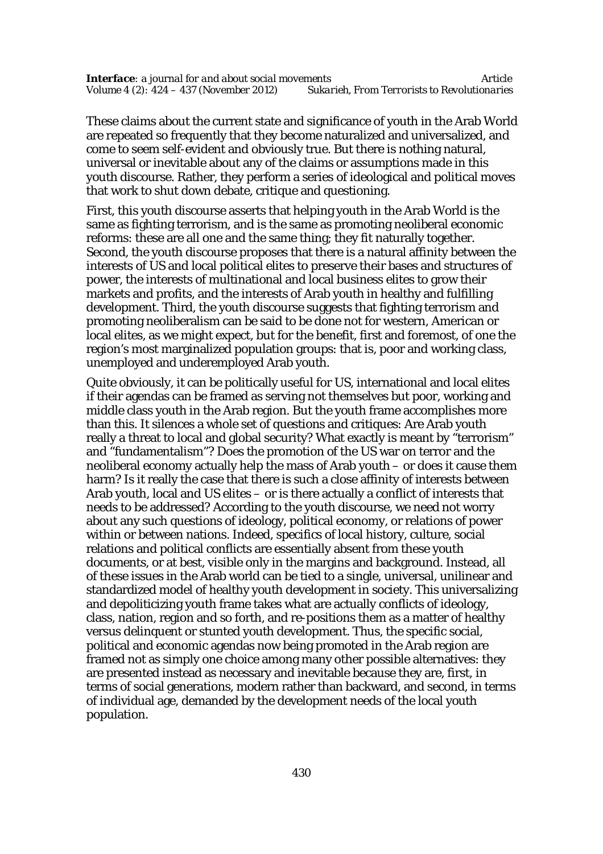These claims about the current state and significance of youth in the Arab World are repeated so frequently that they become naturalized and universalized, and come to seem self-evident and obviously true. But there is nothing natural, universal or inevitable about any of the claims or assumptions made in this youth discourse. Rather, they perform a series of ideological and political moves that work to shut down debate, critique and questioning.

First, this youth discourse asserts that helping youth in the Arab World is the same as fighting terrorism, and is the same as promoting neoliberal economic reforms: these are all one and the same thing; they fit naturally together. Second, the youth discourse proposes that there is a natural affinity between the interests of US and local political elites to preserve their bases and structures of power, the interests of multinational and local business elites to grow their markets and profits, and the interests of Arab youth in healthy and fulfilling development. Third, the youth discourse suggests that fighting terrorism and promoting neoliberalism can be said to be done not for western, American or local elites, as we might expect, but for the benefit, first and foremost, of one the region's most marginalized population groups: that is, poor and working class, unemployed and underemployed Arab youth.

Quite obviously, it can be politically useful for US, international and local elites if their agendas can be framed as serving not themselves but poor, working and middle class youth in the Arab region. But the youth frame accomplishes more than this. It silences a whole set of questions and critiques: Are Arab youth really a threat to local and global security? What exactly is meant by "terrorism" and "fundamentalism"? Does the promotion of the US war on terror and the neoliberal economy actually help the mass of Arab youth – or does it cause them harm? Is it really the case that there is such a close affinity of interests between Arab youth, local and US elites – or is there actually a conflict of interests that needs to be addressed? According to the youth discourse, we need not worry about any such questions of ideology, political economy, or relations of power within or between nations. Indeed, specifics of local history, culture, social relations and political conflicts are essentially absent from these youth documents, or at best, visible only in the margins and background. Instead, all of these issues in the Arab world can be tied to a single, universal, unilinear and standardized model of healthy youth development in society. This universalizing and depoliticizing youth frame takes what are actually conflicts of ideology, class, nation, region and so forth, and re-positions them as a matter of healthy versus delinquent or stunted youth development. Thus, the specific social, political and economic agendas now being promoted in the Arab region are framed not as simply one choice among many other possible alternatives: they are presented instead as necessary and inevitable because they are, first, in terms of social generations, modern rather than backward, and second, in terms of individual age, demanded by the development needs of the local youth population.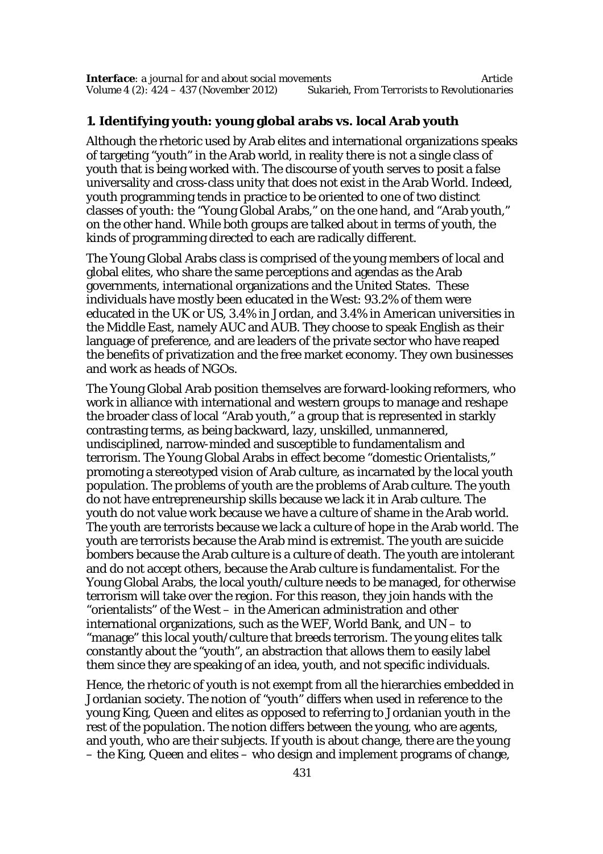### **1. Identifying youth: young global arabs vs. local Arab youth**

Although the rhetoric used by Arab elites and international organizations speaks of targeting "youth" in the Arab world, in reality there is not a single class of youth that is being worked with. The discourse of youth serves to posit a false universality and cross-class unity that does not exist in the Arab World. Indeed, youth programming tends in practice to be oriented to one of two distinct classes of youth: the "Young Global Arabs," on the one hand, and "Arab youth," on the other hand. While both groups are talked about in terms of youth, the kinds of programming directed to each are radically different.

The Young Global Arabs class is comprised of the young members of local and global elites, who share the same perceptions and agendas as the Arab governments, international organizations and the United States. These individuals have mostly been educated in the West: 93.2% of them were educated in the UK or US, 3.4% in Jordan, and 3.4% in American universities in the Middle East, namely AUC and AUB. They choose to speak English as their language of preference, and are leaders of the private sector who have reaped the benefits of privatization and the free market economy. They own businesses and work as heads of NGOs.

The Young Global Arab position themselves are forward-looking reformers, who work in alliance with international and western groups to manage and reshape the broader class of local "Arab youth," a group that is represented in starkly contrasting terms, as being backward, lazy, unskilled, unmannered, undisciplined, narrow-minded and susceptible to fundamentalism and terrorism. The Young Global Arabs in effect become "domestic Orientalists," promoting a stereotyped vision of Arab culture, as incarnated by the local youth population. The problems of youth are the problems of Arab culture. The youth do not have entrepreneurship skills because we lack it in Arab culture. The youth do not value work because we have a culture of shame in the Arab world. The youth are terrorists because we lack a culture of hope in the Arab world. The youth are terrorists because the Arab mind is extremist. The youth are suicide bombers because the Arab culture is a culture of death. The youth are intolerant and do not accept others, because the Arab culture is fundamentalist. For the Young Global Arabs, the local youth/culture needs to be managed, for otherwise terrorism will take over the region. For this reason, they join hands with the "orientalists" of the West – in the American administration and other international organizations, such as the WEF, World Bank, and UN – to "manage" this local youth/culture that breeds terrorism. The young elites talk constantly about the "youth", an abstraction that allows them to easily label them since they are speaking of an idea, youth, and not specific individuals.

Hence, the rhetoric of youth is not exempt from all the hierarchies embedded in Jordanian society. The notion of "youth" differs when used in reference to the young King, Queen and elites as opposed to referring to Jordanian youth in the rest of the population. The notion differs between the young, who are agents, and youth, who are their subjects. If youth is about change, there are the young – the King, Queen and elites – who design and implement programs of change,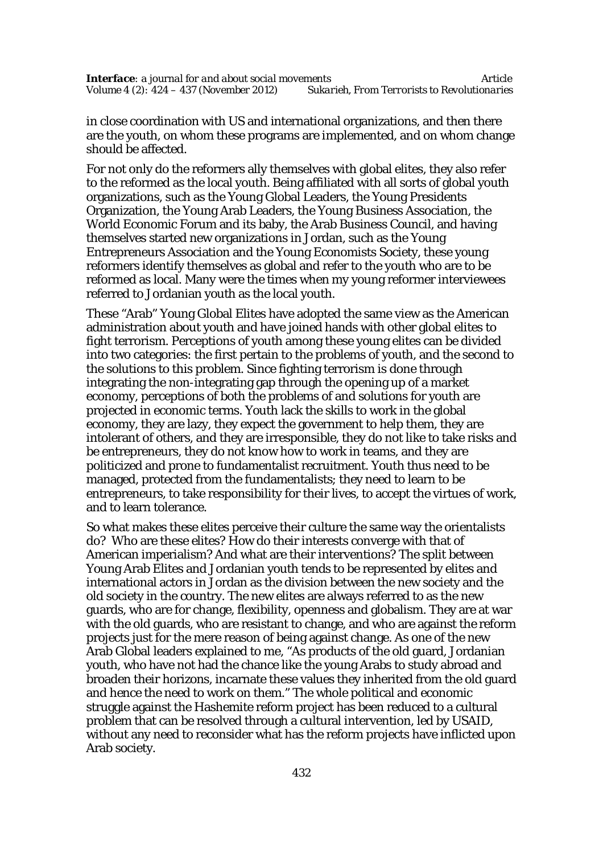in close coordination with US and international organizations, and then there are the youth, on whom these programs are implemented, and on whom change should be affected.

For not only do the reformers ally themselves with global elites, they also refer to the reformed as the local youth. Being affiliated with all sorts of global youth organizations, such as the Young Global Leaders, the Young Presidents Organization, the Young Arab Leaders, the Young Business Association, the World Economic Forum and its baby, the Arab Business Council, and having themselves started new organizations in Jordan, such as the Young Entrepreneurs Association and the Young Economists Society, these young reformers identify themselves as global and refer to the youth who are to be reformed as local. Many were the times when my young reformer interviewees referred to Jordanian youth as the local youth.

These "Arab" Young Global Elites have adopted the same view as the American administration about youth and have joined hands with other global elites to fight terrorism. Perceptions of youth among these young elites can be divided into two categories: the first pertain to the problems of youth, and the second to the solutions to this problem. Since fighting terrorism is done through integrating the non-integrating gap through the opening up of a market economy, perceptions of both the problems of and solutions for youth are projected in economic terms. Youth lack the skills to work in the global economy, they are lazy, they expect the government to help them, they are intolerant of others, and they are irresponsible, they do not like to take risks and be entrepreneurs, they do not know how to work in teams, and they are politicized and prone to fundamentalist recruitment. Youth thus need to be managed, protected from the fundamentalists; they need to learn to be entrepreneurs, to take responsibility for their lives, to accept the virtues of work, and to learn tolerance.

So what makes these elites perceive their culture the same way the orientalists do? Who are these elites? How do their interests converge with that of American imperialism? And what are their interventions? The split between Young Arab Elites and Jordanian youth tends to be represented by elites and international actors in Jordan as the division between the new society and the old society in the country. The new elites are always referred to as the new guards, who are for change, flexibility, openness and globalism. They are at war with the old guards, who are resistant to change, and who are against the reform projects just for the mere reason of being against change. As one of the new Arab Global leaders explained to me, "As products of the old guard, Jordanian youth, who have not had the chance like the young Arabs to study abroad and broaden their horizons, incarnate these values they inherited from the old guard and hence the need to work on them." The whole political and economic struggle against the Hashemite reform project has been reduced to a cultural problem that can be resolved through a cultural intervention, led by USAID, without any need to reconsider what has the reform projects have inflicted upon Arab society.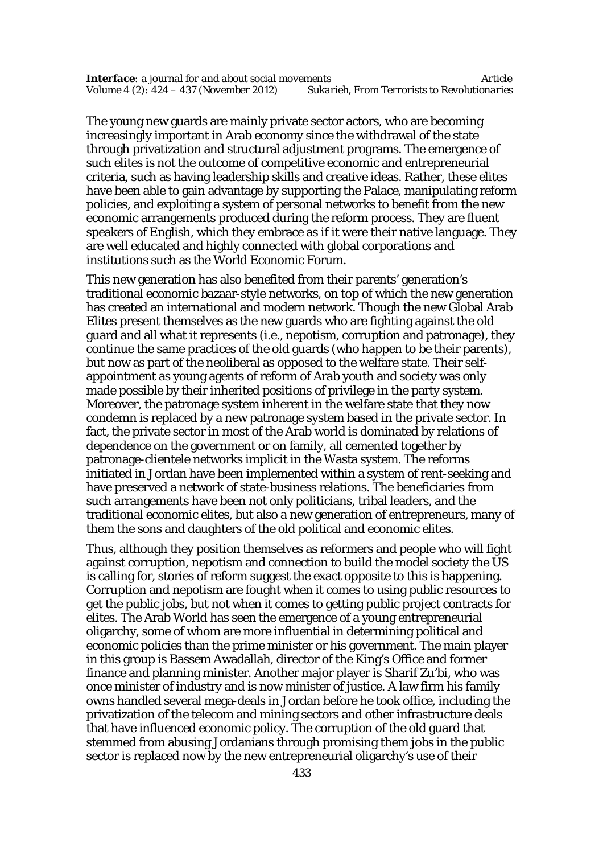The young new guards are mainly private sector actors, who are becoming increasingly important in Arab economy since the withdrawal of the state through privatization and structural adjustment programs. The emergence of such elites is not the outcome of competitive economic and entrepreneurial criteria, such as having leadership skills and creative ideas. Rather, these elites have been able to gain advantage by supporting the Palace, manipulating reform policies, and exploiting a system of personal networks to benefit from the new economic arrangements produced during the reform process. They are fluent speakers of English, which they embrace as if it were their native language. They are well educated and highly connected with global corporations and institutions such as the World Economic Forum.

This new generation has also benefited from their parents' generation's traditional economic bazaar-style networks, on top of which the new generation has created an international and modern network. Though the new Global Arab Elites present themselves as the new guards who are fighting against the old guard and all what it represents (i.e., nepotism, corruption and patronage), they continue the same practices of the old guards (who happen to be their parents), but now as part of the neoliberal as opposed to the welfare state. Their selfappointment as young agents of reform of Arab youth and society was only made possible by their inherited positions of privilege in the party system. Moreover, the patronage system inherent in the welfare state that they now condemn is replaced by a new patronage system based in the private sector. In fact, the private sector in most of the Arab world is dominated by relations of dependence on the government or on family, all cemented together by patronage-clientele networks implicit in the Wasta system. The reforms initiated in Jordan have been implemented within a system of rent-seeking and have preserved a network of state-business relations. The beneficiaries from such arrangements have been not only politicians, tribal leaders, and the traditional economic elites, but also a new generation of entrepreneurs, many of them the sons and daughters of the old political and economic elites.

Thus, although they position themselves as reformers and people who will fight against corruption, nepotism and connection to build the model society the US is calling for, stories of reform suggest the exact opposite to this is happening. Corruption and nepotism are fought when it comes to using public resources to get the public jobs, but not when it comes to getting public project contracts for elites. The Arab World has seen the emergence of a young entrepreneurial oligarchy, some of whom are more influential in determining political and economic policies than the prime minister or his government. The main player in this group is Bassem Awadallah, director of the King's Office and former finance and planning minister. Another major player is Sharif Zu'bi, who was once minister of industry and is now minister of justice. A law firm his family owns handled several mega-deals in Jordan before he took office, including the privatization of the telecom and mining sectors and other infrastructure deals that have influenced economic policy. The corruption of the old guard that stemmed from abusing Jordanians through promising them jobs in the public sector is replaced now by the new entrepreneurial oligarchy's use of their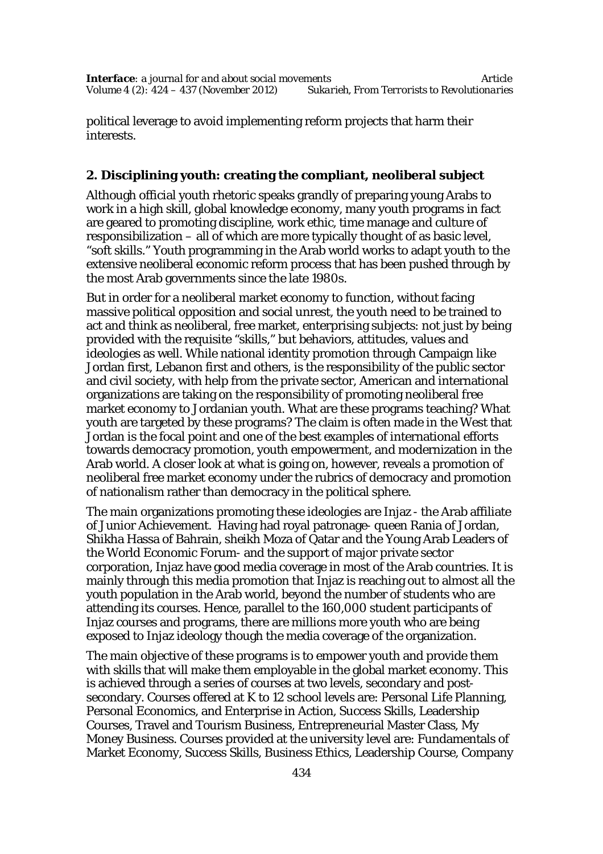political leverage to avoid implementing reform projects that harm their interests.

## **2. Disciplining youth: creating the compliant, neoliberal subject**

Although official youth rhetoric speaks grandly of preparing young Arabs to work in a high skill, global knowledge economy, many youth programs in fact are geared to promoting discipline, work ethic, time manage and culture of responsibilization – all of which are more typically thought of as basic level, "soft skills." Youth programming in the Arab world works to adapt youth to the extensive neoliberal economic reform process that has been pushed through by the most Arab governments since the late 1980s.

But in order for a neoliberal market economy to function, without facing massive political opposition and social unrest, the youth need to be trained to act and think as neoliberal, free market, enterprising subjects: not just by being provided with the requisite "skills," but behaviors, attitudes, values and ideologies as well. While national identity promotion through Campaign like Jordan first, Lebanon first and others, is the responsibility of the public sector and civil society, with help from the private sector, American and international organizations are taking on the responsibility of promoting neoliberal free market economy to Jordanian youth. What are these programs teaching? What youth are targeted by these programs? The claim is often made in the West that Jordan is the focal point and one of the best examples of international efforts towards democracy promotion, youth empowerment, and modernization in the Arab world. A closer look at what is going on, however, reveals a promotion of neoliberal free market economy under the rubrics of democracy and promotion of nationalism rather than democracy in the political sphere.

The main organizations promoting these ideologies are Injaz - the Arab affiliate of Junior Achievement. Having had royal patronage- queen Rania of Jordan, Shikha Hassa of Bahrain, sheikh Moza of Qatar and the Young Arab Leaders of the World Economic Forum- and the support of major private sector corporation, Injaz have good media coverage in most of the Arab countries. It is mainly through this media promotion that Injaz is reaching out to almost all the youth population in the Arab world, beyond the number of students who are attending its courses. Hence, parallel to the 160,000 student participants of Injaz courses and programs, there are millions more youth who are being exposed to Injaz ideology though the media coverage of the organization.

The main objective of these programs is to empower youth and provide them with skills that will make them employable in the global market economy. This is achieved through a series of courses at two levels, secondary and postsecondary. Courses offered at K to 12 school levels are: Personal Life Planning, Personal Economics, and Enterprise in Action, Success Skills, Leadership Courses, Travel and Tourism Business, Entrepreneurial Master Class, My Money Business. Courses provided at the university level are: Fundamentals of Market Economy, Success Skills, Business Ethics, Leadership Course, Company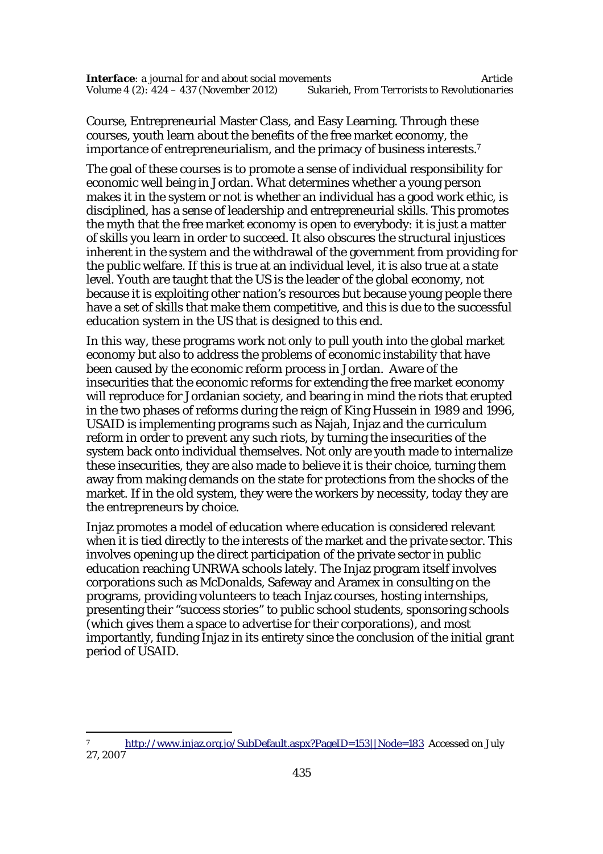Course, Entrepreneurial Master Class, and Easy Learning. Through these courses, youth learn about the benefits of the free market economy, the importance of entrepreneurialism, and the primacy of business interests.<sup>7</sup>

The goal of these courses is to promote a sense of individual responsibility for economic well being in Jordan. What determines whether a young person makes it in the system or not is whether an individual has a good work ethic, is disciplined, has a sense of leadership and entrepreneurial skills. This promotes the myth that the free market economy is open to everybody: it is just a matter of skills you learn in order to succeed. It also obscures the structural injustices inherent in the system and the withdrawal of the government from providing for the public welfare. If this is true at an individual level, it is also true at a state level. Youth are taught that the US is the leader of the global economy, not because it is exploiting other nation's resources but because young people there have a set of skills that make them competitive, and this is due to the successful education system in the US that is designed to this end.

In this way, these programs work not only to pull youth into the global market economy but also to address the problems of economic instability that have been caused by the economic reform process in Jordan. Aware of the insecurities that the economic reforms for extending the free market economy will reproduce for Jordanian society, and bearing in mind the riots that erupted in the two phases of reforms during the reign of King Hussein in 1989 and 1996, USAID is implementing programs such as Najah, Injaz and the curriculum reform in order to prevent any such riots, by turning the insecurities of the system back onto individual themselves. Not only are youth made to internalize these insecurities, they are also made to believe it is their choice, turning them away from making demands on the state for protections from the shocks of the market. If in the old system, they were the workers by necessity, today they are the entrepreneurs by choice.

Injaz promotes a model of education where education is considered relevant when it is tied directly to the interests of the market and the private sector. This involves opening up the direct participation of the private sector in public education reaching UNRWA schools lately. The Injaz program itself involves corporations such as McDonalds, Safeway and Aramex in consulting on the programs, providing volunteers to teach Injaz courses, hosting internships, presenting their "success stories" to public school students, sponsoring schools (which gives them a space to advertise for their corporations), and most importantly, funding Injaz in its entirety since the conclusion of the initial grant period of USAID.

 $\overline{a}$ <sup>7</sup> http://www.injaz.org.jo/SubDefault.aspx?PageID=153||Node=183 Accessed on July 27, 2007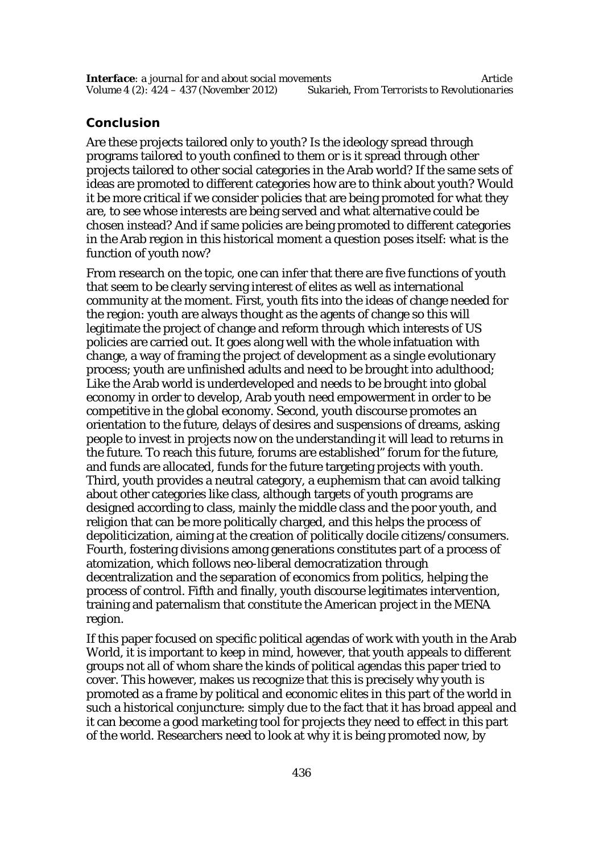## **Conclusion**

Are these projects tailored only to youth? Is the ideology spread through programs tailored to youth confined to them or is it spread through other projects tailored to other social categories in the Arab world? If the same sets of ideas are promoted to different categories how are to think about youth? Would it be more critical if we consider policies that are being promoted for what they are, to see whose interests are being served and what alternative could be chosen instead? And if same policies are being promoted to different categories in the Arab region in this historical moment a question poses itself: what is the function of youth now?

From research on the topic, one can infer that there are five functions of youth that seem to be clearly serving interest of elites as well as international community at the moment. First, youth fits into the ideas of change needed for the region: youth are always thought as the agents of change so this will legitimate the project of change and reform through which interests of US policies are carried out. It goes along well with the whole infatuation with change, a way of framing the project of development as a single evolutionary process; youth are unfinished adults and need to be brought into adulthood; Like the Arab world is underdeveloped and needs to be brought into global economy in order to develop, Arab youth need empowerment in order to be competitive in the global economy. Second, youth discourse promotes an orientation to the future, delays of desires and suspensions of dreams, asking people to invest in projects now on the understanding it will lead to returns in the future. To reach this future, forums are established" forum for the future, and funds are allocated, funds for the future targeting projects with youth. Third, youth provides a neutral category, a euphemism that can avoid talking about other categories like class, although targets of youth programs are designed according to class, mainly the middle class and the poor youth, and religion that can be more politically charged, and this helps the process of depoliticization, aiming at the creation of politically docile citizens/consumers. Fourth, fostering divisions among generations constitutes part of a process of atomization, which follows neo-liberal democratization through decentralization and the separation of economics from politics, helping the process of control. Fifth and finally, youth discourse legitimates intervention, training and paternalism that constitute the American project in the MENA region.

If this paper focused on specific political agendas of work with youth in the Arab World, it is important to keep in mind, however, that youth appeals to different groups not all of whom share the kinds of political agendas this paper tried to cover. This however, makes us recognize that this is precisely why youth is promoted as a frame by political and economic elites in this part of the world in such a historical conjuncture: simply due to the fact that it has broad appeal and it can become a good marketing tool for projects they need to effect in this part of the world. Researchers need to look at why it is being promoted now, by